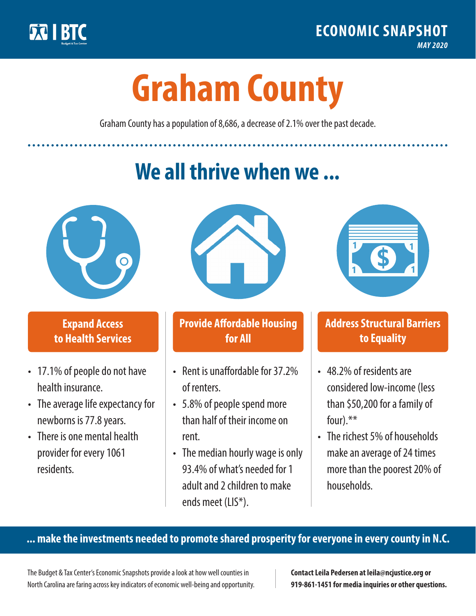

**1**

# **Graham County**

Graham County has a population of 8,686, a decrease of 2.1% over the past decade.

# **We all thrive when we ...**



**\$ <sup>1</sup>**

**\$ <sup>1</sup>**

#### **Expand Access to Health Services**

- 17.1% of people do not have health insurance.
- The average life expectancy for newborns is 77.8 years.
- There is one mental health provider for every 1061 residents.



## **Provide Affordable Housing for All**

- Rent is unaffordable for 37 2% of renters.
- 5.8% of people spend more than half of their income on rent.
- The median hourly wage is only 93.4% of what's needed for 1 adult and 2 children to make ends meet (LIS\*).



## **Address Structural Barriers to Equality**

- 48.2% of residents are considered low-income (less than \$50,200 for a family of four).\*\*
- The richest 5% of households make an average of 24 times more than the poorest 20% of households.

#### **... make the investments needed to promote shared prosperity for everyone in every county in N.C.**

The Budget & Tax Center's Economic Snapshots provide a look at how well counties in North Carolina are faring across key indicators of economic well-being and opportunity.